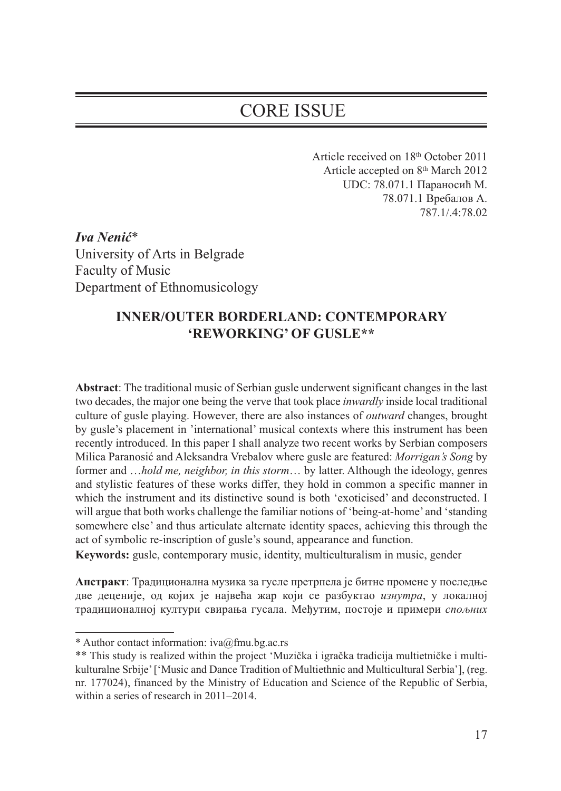# CORE ISSUE

Article received on 18<sup>th</sup> October 2011 Article accepted on 8th March 2012 UDC: 78.071.1 Параносић М. 78.071.1 Вребалов А. 787.1/.4:78.02

*Iva Nenić*\* University of Arts in Belgrade Faculty of Music Department of Ethnomusicology

# **INNER/OUTER BORDERLAND: CONTEMPORARY 'REWORKING' OF GUSLE\*\***

**Abstract**: The traditional music of Serbian gusle underwent significant changes in the last two decades, the major one being the verve that took place *inwardly* inside local traditional culture of gusle playing. However, there are also instances of *outward* changes, brought by gusle's placement in 'international' musical contexts where this instrument has been recently introduced. In this paper I shall analyze two recent works by Serbian composers Milica Paranosić and Aleksandra Vrebalov where gusle are featured: *Morrigan's Song* by former and …*hold me, neighbor, in this storm*… by latter. Although the ideology, genres and stylistic features of these works differ, they hold in common a specific manner in which the instrument and its distinctive sound is both 'exoticised' and deconstructed. I will argue that both works challenge the familiar notions of 'being-at-home' and 'standing somewhere else' and thus articulate alternate identity spaces, achieving this through the act of symbolic re-inscription of gusle's sound, appearance and function.

**Keywords:** gusle, contemporary music, identity, multiculturalism in music, gender

**Апстракт**: Традиционална музика за гусле претрпела је битне промене у последње две деценије, од којих је највећа жар који се разбуктао *изнутра*, у локалној традиционалној култури свирања гусала. Међутим, постоје и примери *спољних*

<sup>\*</sup> Author contact information:  $iva@fmu.bg.ac.rs$ 

<sup>\*\*</sup> This study is realized within the project 'Muzička i igračka tradicija multietničke i multikulturalne Srbije' ['Music and Dance Tradition of Multiethnic and Multicultural Serbia'], (reg. nr. 177024), financed by the Ministry of Education and Science of the Republic of Serbia, within a series of research in 2011–2014.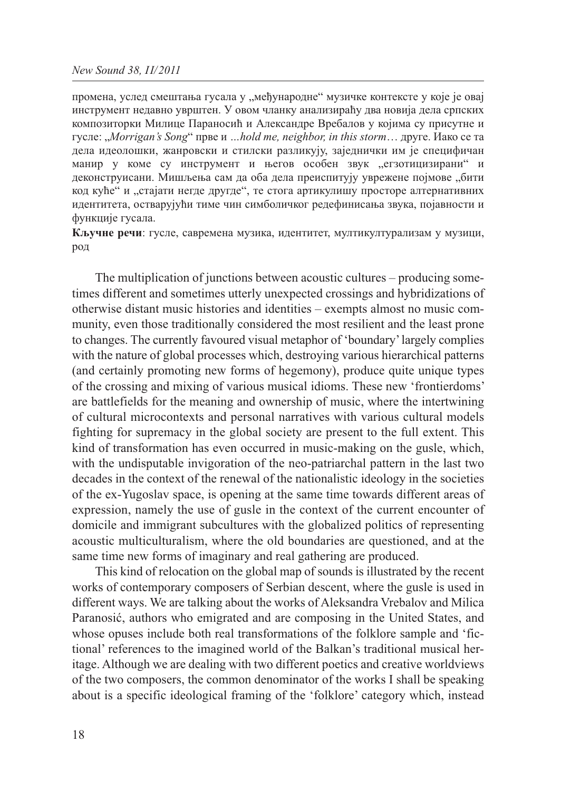промена, услед смештања гусала у "међународне" музичке контексте у које је овај инструмент недавно уврштен. У овом чланку анализираћу два новија дела српских композиторки Милице Параносић и Александре Вребалов у којима су присутне и гусле: "*Morrigan's Song*" прве и *…hold me, neighbor, in this storm*… друге. Иако се та дела идеолошки, жанровски и стилски разликују, заједнички им је специфичан манир у коме су инструмент и његов особен звук "егзотицизирани" и деконструисани. Мишљења сам да оба дела преиспитују уврежене појмове "бити код куће" и "стајати негде другде", те стога артикулишу просторе алтернативних идентитета, остварујући тиме чин симболичког редефинисања звука, појавности и функције гусала.

**Кључне речи**: гусле, савремена музика, идентитет, мултикултурализам у музици, род

The multiplication of junctions between acoustic cultures – producing sometimes different and sometimes utterly unexpected crossings and hybridizations of otherwise distant music histories and identities – exempts almost no music community, even those traditionally considered the most resilient and the least prone to changes. The currently favoured visual metaphor of 'boundary' largely complies with the nature of global processes which, destroying various hierarchical patterns (and certainly promoting new forms of hegemony), produce quite unique types of the crossing and mixing of various musical idioms. These new 'frontierdoms' are battlefields for the meaning and ownership of music, where the intertwining of cultural microcontexts and personal narratives with various cultural models fighting for supremacy in the global society are present to the full extent. This kind of transformation has even occurred in music-making on the gusle, which, with the undisputable invigoration of the neo-patriarchal pattern in the last two decades in the context of the renewal of the nationalistic ideology in the societies of the ex-Yugoslav space, is opening at the same time towards different areas of expression, namely the use of gusle in the context of the current encounter of domicile and immigrant subcultures with the globalized politics of representing acoustic multiculturalism, where the old boundaries are questioned, and at the same time new forms of imaginary and real gathering are produced.

This kind of relocation on the global map of sounds is illustrated by the recent works of contemporary composers of Serbian descent, where the gusle is used in different ways. We are talking about the works of Aleksandra Vrebalov and Milica Paranosić, authors who emigrated and are composing in the United States, and whose opuses include both real transformations of the folklore sample and 'fictional' references to the imagined world of the Balkan's traditional musical heritage. Although we are dealing with two different poetics and creative worldviews of the two composers, the common denominator of the works I shall be speaking about is a specific ideological framing of the 'folklore' category which, instead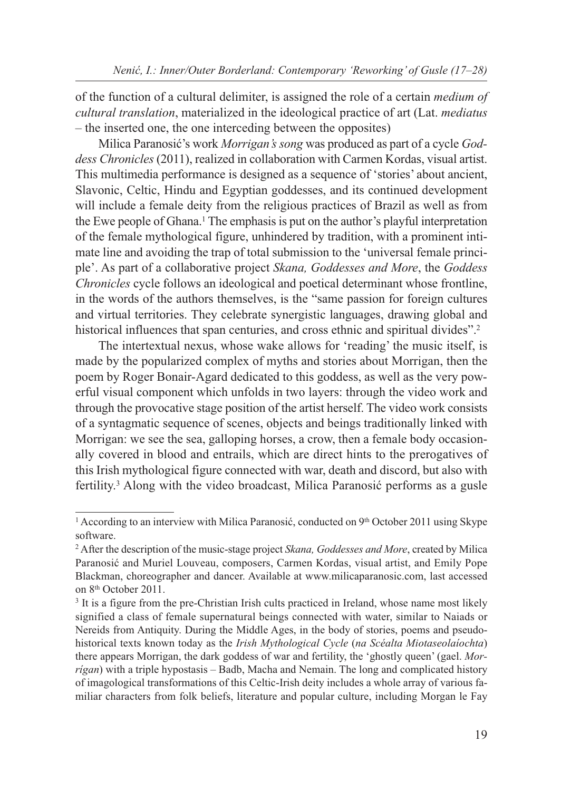of the function of a cultural delimiter, is assigned the role of a certain *medium of cultural translation*, materialized in the ideological practice of art (Lat. *mediatus* – the inserted one, the one interceding between the opposites)

Milica Paranosić's work *Morrigan's song* was produced as part of a cycle *Goddess Chronicles* (2011), realized in collaboration with Carmen Kordas, visual artist. This multimedia performance is designed as a sequence of 'stories' about ancient, Slavonic, Celtic, Hindu and Egyptian goddesses, and its continued development will include a female deity from the religious practices of Brazil as well as from the Ewe people of Ghana.1 The emphasis is put on the author's playful interpretation of the female mythological figure, unhindered by tradition, with a prominent intimate line and avoiding the trap of total submission to the 'universal female principle'. As part of a collaborative project *Skana, Goddesses and More*, the *Goddess Chronicles* cycle follows an ideological and poetical determinant whose frontline, in the words of the authors themselves, is the "same passion for foreign cultures and virtual territories. They celebrate synergistic languages, drawing global and historical influences that span centuries, and cross ethnic and spiritual divides".<sup>2</sup>

The intertextual nexus, whose wake allows for 'reading' the music itself, is made by the popularized complex of myths and stories about Morrigan, then the poem by Roger Bonair-Agard dedicated to this goddess, as well as the very powerful visual component which unfolds in two layers: through the video work and through the provocative stage position of the artist herself. The video work consists of a syntagmatic sequence of scenes, objects and beings traditionally linked with Morrigan: we see the sea, galloping horses, a crow, then a female body occasionally covered in blood and entrails, which are direct hints to the prerogatives of this Irish mythological figure connected with war, death and discord, but also with fertility.3 Along with the video broadcast, Milica Paranosić performs as a gusle

<sup>&</sup>lt;sup>1</sup> According to an interview with Milica Paranosić, conducted on  $9<sup>th</sup>$  October 2011 using Skype software.

<sup>2</sup> After the description of the music-stage project *Skana, Goddesses and More*, created by Milica Paranosić and Muriel Louveau, composers, Carmen Kordas, visual artist, and Emily Pope Blackman, choreographer and dancer. Available at www.milicaparanosic.com, last accessed on 8<sup>th</sup> October 2011.

<sup>&</sup>lt;sup>3</sup> It is a figure from the pre-Christian Irish cults practiced in Ireland, whose name most likely signified a class of female supernatural beings connected with water, similar to Naiads or Nereids from Antiquity. During the Middle Ages, in the body of stories, poems and pseudohistorical texts known today as the *Irish Mythological Cycle* (*na Scéalta Miotaseolaíochta*) there appears Morrigan, the dark goddess of war and fertility, the 'ghostly queen' (gael. *Morrígan*) with a triple hypostasis – Badb, Macha and Nemain. The long and complicated history of imagological transformations of this Celtic-Irish deity includes a whole array of various familiar characters from folk beliefs, literature and popular culture, including Morgan le Fay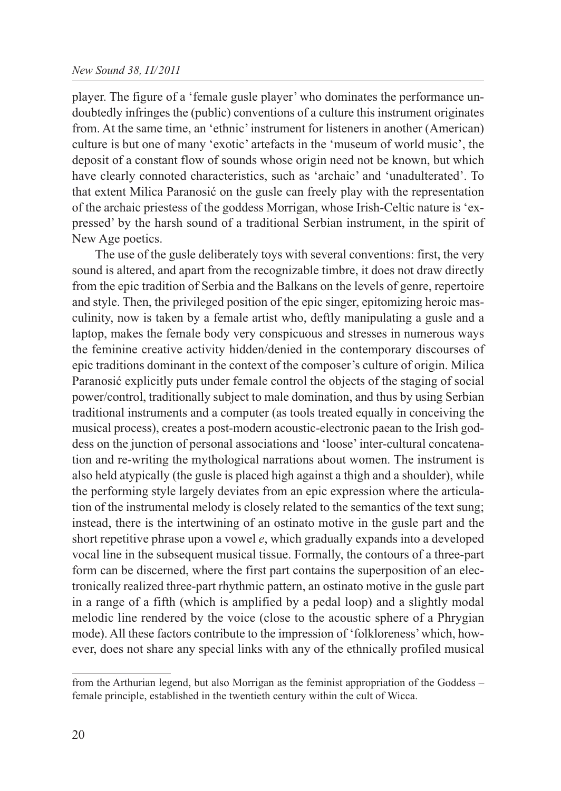player. The figure of a 'female gusle player' who dominates the performance undoubtedly infringes the (public) conventions of a culture this instrument originates from. At the same time, an 'ethnic' instrument for listeners in another (American) culture is but one of many 'exotic' artefacts in the 'museum of world music', the deposit of a constant flow of sounds whose origin need not be known, but which have clearly connoted characteristics, such as 'archaic' and 'unadulterated'. To that extent Milica Paranosić on the gusle can freely play with the representation of the archaic priestess of the goddess Morrigan, whose Irish-Celtic nature is 'expressed' by the harsh sound of a traditional Serbian instrument, in the spirit of New Age poetics.

The use of the gusle deliberately toys with several conventions: first, the very sound is altered, and apart from the recognizable timbre, it does not draw directly from the epic tradition of Serbia and the Balkans on the levels of genre, repertoire and style. Then, the privileged position of the epic singer, epitomizing heroic masculinity, now is taken by a female artist who, deftly manipulating a gusle and a laptop, makes the female body very conspicuous and stresses in numerous ways the feminine creative activity hidden/denied in the contemporary discourses of epic traditions dominant in the context of the composer's culture of origin. Milica Paranosić explicitly puts under female control the objects of the staging of social power/control, traditionally subject to male domination, and thus by using Serbian traditional instruments and a computer (as tools treated equally in conceiving the musical process), creates a post-modern acoustic-electronic paean to the Irish goddess on the junction of personal associations and 'loose' inter-cultural concatenation and re-writing the mythological narrations about women. The instrument is also held atypically (the gusle is placed high against a thigh and a shoulder), while the performing style largely deviates from an epic expression where the articulation of the instrumental melody is closely related to the semantics of the text sung; instead, there is the intertwining of an ostinato motive in the gusle part and the short repetitive phrase upon a vowel *e*, which gradually expands into a developed vocal line in the subsequent musical tissue. Formally, the contours of a three-part form can be discerned, where the first part contains the superposition of an electronically realized three-part rhythmic pattern, an ostinato motive in the gusle part in a range of a fifth (which is amplified by a pedal loop) and a slightly modal melodic line rendered by the voice (close to the acoustic sphere of a Phrygian mode). All these factors contribute to the impression of 'folkloreness' which, however, does not share any special links with any of the ethnically profiled musical

from the Arthurian legend, but also Morrigan as the feminist appropriation of the Goddess – female principle, established in the twentieth century within the cult of Wicca.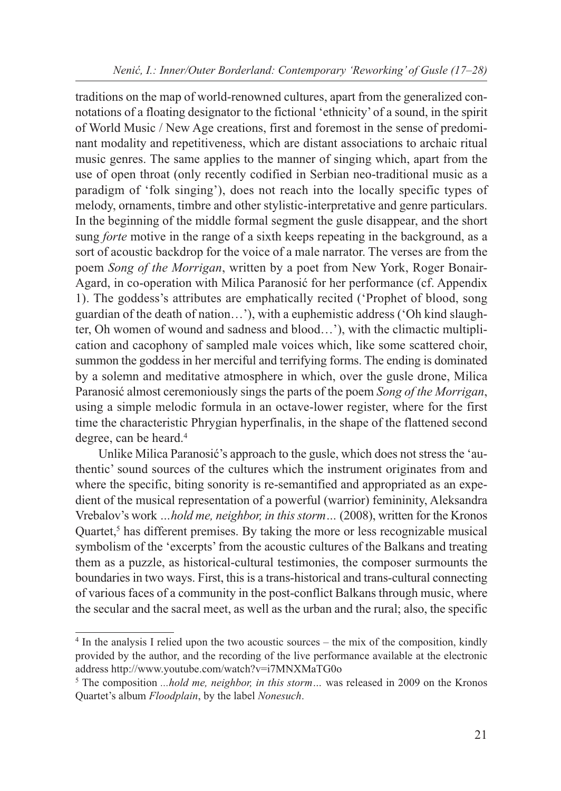traditions on the map of world-renowned cultures, apart from the generalized connotations of a floating designator to the fictional 'ethnicity' of a sound, in the spirit of World Music / New Age creations, first and foremost in the sense of predominant modality and repetitiveness, which are distant associations to archaic ritual music genres. The same applies to the manner of singing which, apart from the use of open throat (only recently codified in Serbian neo-traditional music as a paradigm of 'folk singing'), does not reach into the locally specific types of melody, ornaments, timbre and other stylistic-interpretative and genre particulars. In the beginning of the middle formal segment the gusle disappear, and the short sung *forte* motive in the range of a sixth keeps repeating in the background, as a sort of acoustic backdrop for the voice of a male narrator. The verses are from the poem *Song of the Morrigan*, written by a poet from New York, Roger Bonair-Agard, in co-operation with Milica Paranosić for her performance (cf. Appendix 1). The goddess's attributes are emphatically recited ('Prophet of blood, song guardian of the death of nation…'), with a euphemistic address ('Oh kind slaughter, Oh women of wound and sadness and blood…'), with the climactic multiplication and cacophony of sampled male voices which, like some scattered choir, summon the goddess in her merciful and terrifying forms. The ending is dominated by a solemn and meditative atmosphere in which, over the gusle drone, Milica Paranosić almost ceremoniously sings the parts of the poem *Song of the Morrigan*, using a simple melodic formula in an octave-lower register, where for the first time the characteristic Phrygian hyperfinalis, in the shape of the flattened second degree, can be heard.<sup>4</sup>

Unlike Milica Paranosić's approach to the gusle, which does not stress the 'authentic' sound sources of the cultures which the instrument originates from and where the specific, biting sonority is re-semantified and appropriated as an expedient of the musical representation of a powerful (warrior) femininity, Aleksandra Vrebalov's work *…hold me, neighbor, in this storm…* (2008), written for the Kronos Quartet, $5$  has different premises. By taking the more or less recognizable musical symbolism of the 'excerpts' from the acoustic cultures of the Balkans and treating them as a puzzle, as historical-cultural testimonies, the composer surmounts the boundaries in two ways. First, this is a trans-historical and trans-cultural connecting of various faces of a community in the post-conflict Balkans through music, where the secular and the sacral meet, as well as the urban and the rural; also, the specific

<sup>4</sup> In the analysis I relied upon the two acoustic sources – the mix of the composition, kindly provided by the author, and the recording of the live performance available at the electronic address http://www.youtube.com/watch?v=i7MNXMaTG0o

<sup>5</sup> The composition *...hold me, neighbor, in this storm…* was released in 2009 on the Kronos Quartet's album *Floodplain*, by the label *Nonesuch*.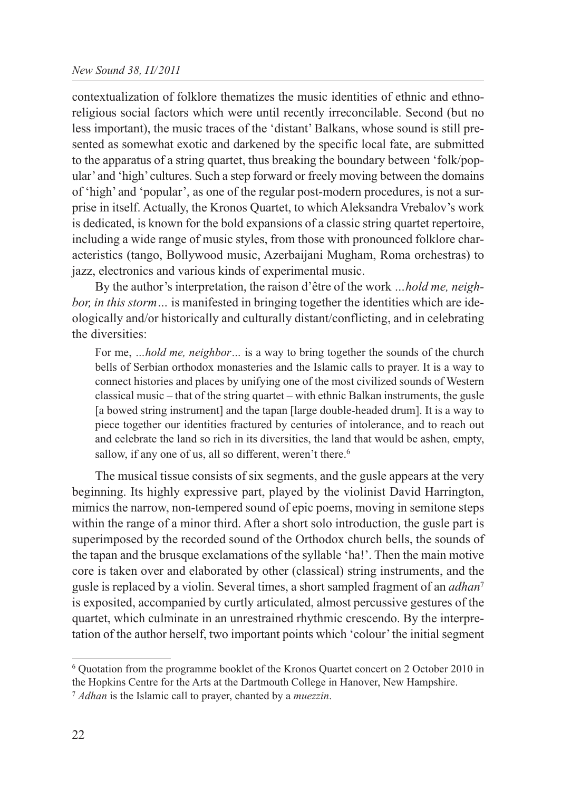#### *New Sound 38, II/2011*

contextualization of folklore thematizes the music identities of ethnic and ethnoreligious social factors which were until recently irreconcilable. Second (but no less important), the music traces of the 'distant' Balkans, whose sound is still presented as somewhat exotic and darkened by the specific local fate, are submitted to the apparatus of a string quartet, thus breaking the boundary between 'folk/popular' and 'high' cultures. Such a step forward or freely moving between the domains of 'high' and 'popular', as one of the regular post-modern procedures, is not a surprise in itself. Actually, the Kronos Quartet, to which Aleksandra Vrebalov's work is dedicated, is known for the bold expansions of a classic string quartet repertoire, including a wide range of music styles, from those with pronounced folklore characteristics (tango, Bollywood music, Azerbaijani Mugham, Roma orchestras) to jazz, electronics and various kinds of experimental music.

By the author's interpretation, the raison d'être of the work *…hold me, neighbor, in this storm*... is manifested in bringing together the identities which are ideologically and/or historically and culturally distant/conflicting, and in celebrating the diversities:

For me, *…hold me, neighbor…* is a way to bring together the sounds of the church bells of Serbian orthodox monasteries and the Islamic calls to prayer. It is a way to connect histories and places by unifying one of the most civilized sounds of Western classical music – that of the string quartet – with ethnic Balkan instruments, the gusle [a bowed string instrument] and the tapan [large double-headed drum]. It is a way to piece together our identities fractured by centuries of intolerance, and to reach out and celebrate the land so rich in its diversities, the land that would be ashen, empty, sallow, if any one of us, all so different, weren't there.<sup>6</sup>

The musical tissue consists of six segments, and the gusle appears at the very beginning. Its highly expressive part, played by the violinist David Harrington, mimics the narrow, non-tempered sound of epic poems, moving in semitone steps within the range of a minor third. After a short solo introduction, the gusle part is superimposed by the recorded sound of the Orthodox church bells, the sounds of the tapan and the brusque exclamations of the syllable 'ha!'. Then the main motive core is taken over and elaborated by other (classical) string instruments, and the gusle is replaced by a violin. Several times, a short sampled fragment of an *adhan*<sup>7</sup> is exposited, accompanied by curtly articulated, almost percussive gestures of the quartet, which culminate in an unrestrained rhythmic crescendo. By the interpretation of the author herself, two important points which 'colour' the initial segment

<sup>6</sup> Quotation from the programme booklet of the Kronos Quartet concert on 2 October 2010 in the Hopkins Centre for the Arts at the Dartmouth College in Hanover, New Hampshire. <sup>7</sup> *Adhan* is the Islamic call to prayer, chanted by a *muezzin*.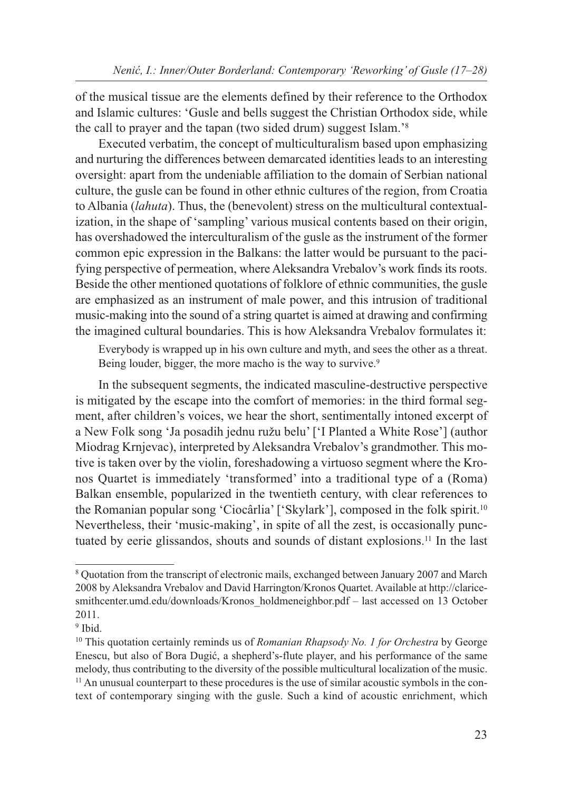of the musical tissue are the elements defined by their reference to the Orthodox and Islamic cultures: 'Gusle and bells suggest the Christian Orthodox side, while the call to prayer and the tapan (two sided drum) suggest Islam.'8

Executed verbatim, the concept of multiculturalism based upon emphasizing and nurturing the differences between demarcated identities leads to an interesting oversight: apart from the undeniable affiliation to the domain of Serbian national culture, the gusle can be found in other ethnic cultures of the region, from Croatia to Albania (*lahuta*). Thus, the (benevolent) stress on the multicultural contextualization, in the shape of 'sampling' various musical contents based on their origin, has overshadowed the interculturalism of the gusle as the instrument of the former common epic expression in the Balkans: the latter would be pursuant to the pacifying perspective of permeation, where Aleksandra Vrebalov's work finds its roots. Beside the other mentioned quotations of folklore of ethnic communities, the gusle are emphasized as an instrument of male power, and this intrusion of traditional music-making into the sound of a string quartet is aimed at drawing and confirming the imagined cultural boundaries. This is how Aleksandra Vrebalov formulates it:

Everybody is wrapped up in his own culture and myth, and sees the other as a threat. Being louder, bigger, the more macho is the way to survive.<sup>9</sup>

In the subsequent segments, the indicated masculine-destructive perspective is mitigated by the escape into the comfort of memories: in the third formal segment, after children's voices, we hear the short, sentimentally intoned excerpt of a New Folk song 'Ja posadih jednu ružu belu' ['I Planted a White Rose'] (author Miodrag Krnjevac), interpreted by Aleksandra Vrebalov's grandmother. This motive is taken over by the violin, foreshadowing a virtuoso segment where the Kronos Quartet is immediately 'transformed' into a traditional type of a (Roma) Balkan ensemble, popularized in the twentieth century, with clear references to the Romanian popular song 'Ciocârlia' ['Skylark'], composed in the folk spirit.<sup>10</sup> Nevertheless, their 'music-making', in spite of all the zest, is occasionally punctuated by eerie glissandos, shouts and sounds of distant explosions.11 In the last

<sup>8</sup> Quotation from the transcript of electronic mails, exchanged between January 2007 and March 2008 by Aleksandra Vrebalov and David Harrington/Kronos Quartet. Available at http://claricesmithcenter.umd.edu/downloads/Kronos\_holdmeneighbor.pdf – last accessed on 13 October 2011.

<sup>&</sup>lt;sup>9</sup> Ibid.

<sup>10</sup> This quotation certainly reminds us of *Romanian Rhapsody No. 1 for Orchestra* by George Enescu, but also of Bora Dugić, a shepherd's-flute player, and his performance of the same melody, thus contributing to the diversity of the possible multicultural localization of the music. <sup>11</sup> An unusual counterpart to these procedures is the use of similar acoustic symbols in the context of contemporary singing with the gusle. Such a kind of acoustic enrichment, which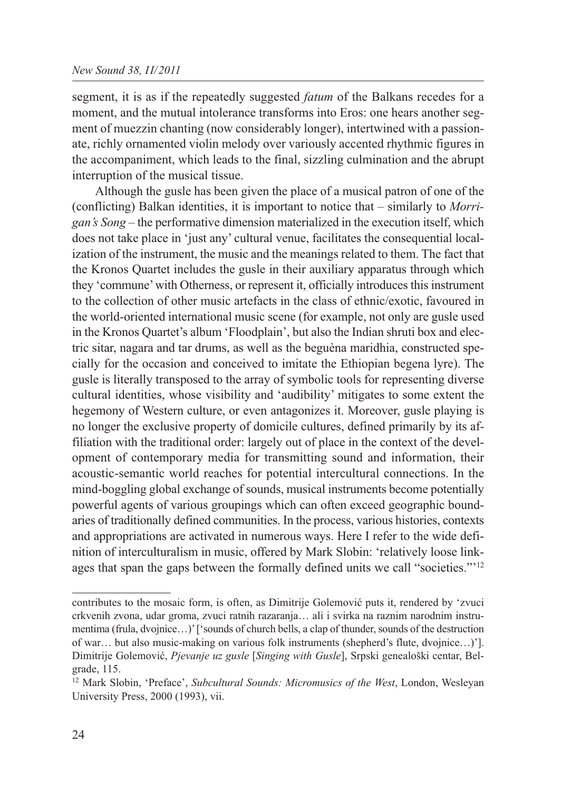segment, it is as if the repeatedly suggested *fatum* of the Balkans recedes for a moment, and the mutual intolerance transforms into Eros: one hears another segment of muezzin chanting (now considerably longer), intertwined with a passionate, richly ornamented violin melody over variously accented rhythmic figures in the accompaniment, which leads to the final, sizzling culmination and the abrupt interruption of the musical tissue.

Although the gusle has been given the place of a musical patron of one of the (conflicting) Balkan identities, it is important to notice that – similarly to *Morrigan's Song* – the performative dimension materialized in the execution itself, which does not take place in 'just any' cultural venue, facilitates the consequential localization of the instrument, the music and the meanings related to them. The fact that the Kronos Quartet includes the gusle in their auxiliary apparatus through which they 'commune' with Otherness, or represent it, officially introduces this instrument to the collection of other music artefacts in the class of ethnic/exotic, favoured in the world-oriented international music scene (for example, not only are gusle used in the Kronos Quartet's album 'Floodplain', but also the Indian shruti box and electric sitar, nagara and tar drums, as well as the beguèna maridhia, constructed specially for the occasion and conceived to imitate the Ethiopian begena lyre). The gusle is literally transposed to the array of symbolic tools for representing diverse cultural identities, whose visibility and 'audibility' mitigates to some extent the hegemony of Western culture, or even antagonizes it. Moreover, gusle playing is no longer the exclusive property of domicile cultures, defined primarily by its affiliation with the traditional order: largely out of place in the context of the development of contemporary media for transmitting sound and information, their acoustic-semantic world reaches for potential intercultural connections. In the mind-boggling global exchange of sounds, musical instruments become potentially powerful agents of various groupings which can often exceed geographic boundaries of traditionally defined communities. In the process, various histories, contexts and appropriations are activated in numerous ways. Here I refer to the wide definition of interculturalism in music, offered by Mark Slobin: 'relatively loose linkages that span the gaps between the formally defined units we call "societies."'12

contributes to the mosaic form, is often, as Dimitrije Golemović puts it, rendered by 'zvuci crkvenih zvona, udar groma, zvuci ratnih razaranja… ali i svirka na raznim narodnim instrumentima (frula, dvojnice…)' ['sounds of church bells, a clap of thunder, sounds of the destruction of war… but also music-making on various folk instruments (shepherd's flute, dvojnice…)']. Dimitrije Golemović, *Pjevanje uz gusle* [*Singing with Gusle*], Srpski genealoški centar, Belgrade, 115.

<sup>12</sup> Mark Slobin, 'Preface', *Subcultural Sounds: Micromusics of the West*, London, Wesleyan University Press, 2000 (1993), vii.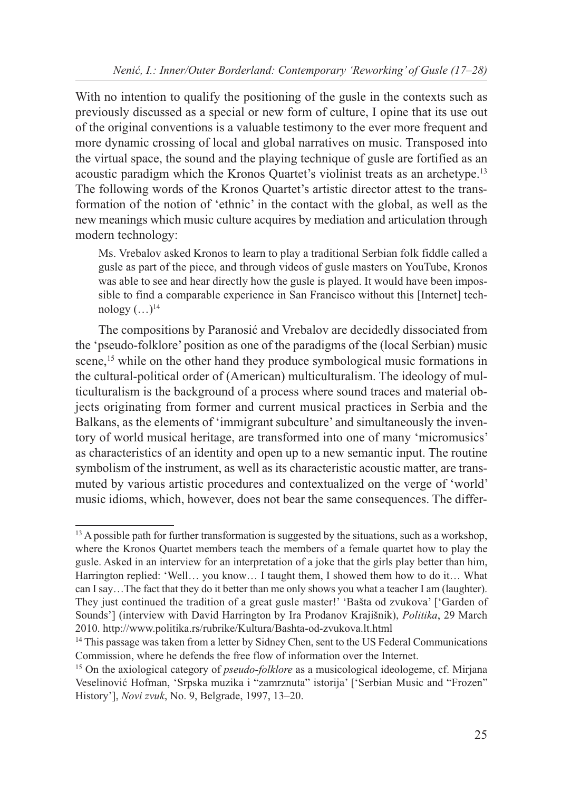With no intention to qualify the positioning of the gusle in the contexts such as previously discussed as a special or new form of culture, I opine that its use out of the original conventions is a valuable testimony to the ever more frequent and more dynamic crossing of local and global narratives on music. Transposed into the virtual space, the sound and the playing technique of gusle are fortified as an acoustic paradigm which the Kronos Quartet's violinist treats as an archetype.13 The following words of the Kronos Quartet's artistic director attest to the transformation of the notion of 'ethnic' in the contact with the global, as well as the new meanings which music culture acquires by mediation and articulation through modern technology:

Ms. Vrebalov asked Kronos to learn to play a traditional Serbian folk fiddle called a gusle as part of the piece, and through videos of gusle masters on YouTube, Kronos was able to see and hear directly how the gusle is played. It would have been impossible to find a comparable experience in San Francisco without this [Internet] technology  $(\ldots)^{14}$ 

The compositions by Paranosić and Vrebalov are decidedly dissociated from the 'pseudo-folklore' position as one of the paradigms of the (local Serbian) music scene,<sup>15</sup> while on the other hand they produce symbological music formations in the cultural-political order of (American) multiculturalism. The ideology of multiculturalism is the background of a process where sound traces and material objects originating from former and current musical practices in Serbia and the Balkans, as the elements of 'immigrant subculture' and simultaneously the inventory of world musical heritage, are transformed into one of many 'micromusics' as characteristics of an identity and open up to a new semantic input. The routine symbolism of the instrument, as well as its characteristic acoustic matter, are transmuted by various artistic procedures and contextualized on the verge of 'world' music idioms, which, however, does not bear the same consequences. The differ-

<sup>&</sup>lt;sup>13</sup> A possible path for further transformation is suggested by the situations, such as a workshop, where the Kronos Quartet members teach the members of a female quartet how to play the gusle. Asked in an interview for an interpretation of a joke that the girls play better than him, Harrington replied: 'Well… you know… I taught them, I showed them how to do it… What can I say…The fact that they do it better than me only shows you what a teacher I am (laughter). They just continued the tradition of a great gusle master!' 'Bašta od zvukova' ['Garden of Sounds'] (interview with David Harrington by Ira Prodanov Krajišnik), *Politika*, 29 March 2010. http://www.politika.rs/rubrike/Kultura/Bashta-od-zvukova.lt.html

<sup>&</sup>lt;sup>14</sup> This passage was taken from a letter by Sidney Chen, sent to the US Federal Communications Commission, where he defends the free flow of information over the Internet.

<sup>&</sup>lt;sup>15</sup> On the axiological category of *pseudo-folklore* as a musicological ideologeme, cf. Mirjana Veselinović Hofman, 'Srpska muzika i "zamrznuta" istorija' ['Serbian Music and "Frozen" History'], *Novi zvuk*, No. 9, Belgrade, 1997, 13–20.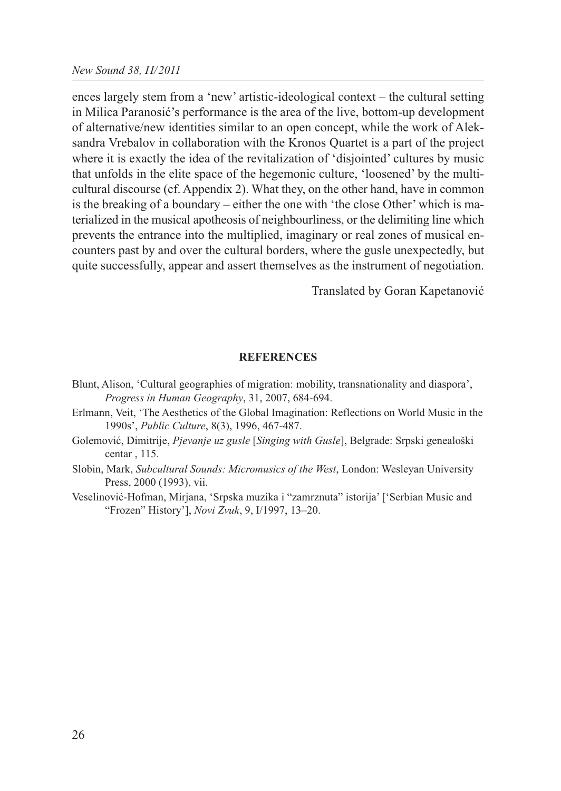ences largely stem from a 'new' artistic-ideological context – the cultural setting in Milica Paranosić's performance is the area of the live, bottom-up development of alternative/new identities similar to an open concept, while the work of Aleksandra Vrebalov in collaboration with the Kronos Quartet is a part of the project where it is exactly the idea of the revitalization of 'disjointed' cultures by music that unfolds in the elite space of the hegemonic culture, 'loosened' by the multicultural discourse (cf. Appendix 2). What they, on the other hand, have in common is the breaking of a boundary – either the one with 'the close Other' which is materialized in the musical apotheosis of neighbourliness, or the delimiting line which prevents the entrance into the multiplied, imaginary or real zones of musical encounters past by and over the cultural borders, where the gusle unexpectedly, but quite successfully, appear and assert themselves as the instrument of negotiation.

Translated by Goran Kapetanović

#### **REFERENCES**

- Blunt, Alison, 'Cultural geographies of migration: mobility, transnationality and diaspora', *Progress in Human Geography*, 31, 2007, 684-694.
- Erlmann, Veit, 'The Aesthetics of the Global Imagination: Reflections on World Music in the 1990s', *Public Culture*, 8(3), 1996, 467-487.
- Golemović, Dimitrije, *Pjevanje uz gusle* [*Singing with Gusle*], Belgrade: Srpski genealoški centar , 115.
- Slobin, Mark, *Subcultural Sounds: Micromusics of the West*, London: Wesleyan University Press, 2000 (1993), vii.
- Veselinović-Hofman, Mirjana, 'Srpska muzika i "zamrznuta" istorija' ['Serbian Music and "Frozen" History'], *Novi Zvuk*, 9, I/1997, 13–20.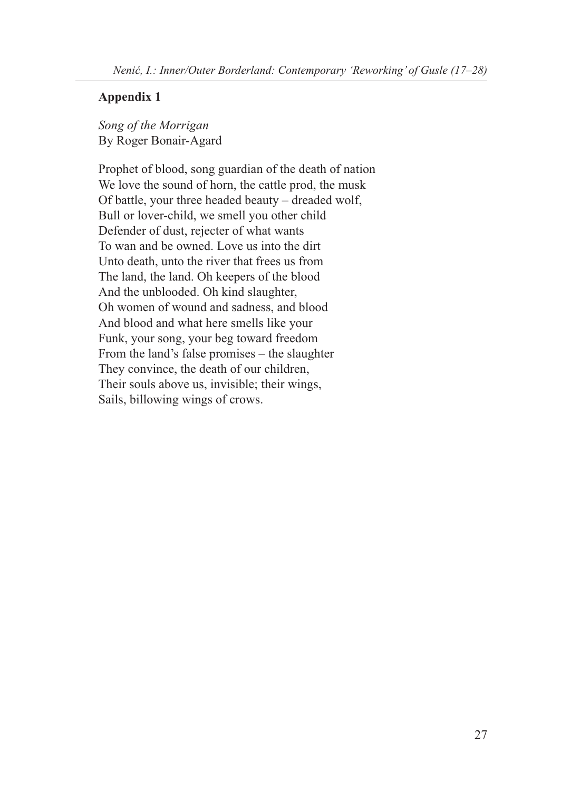### **Appendix 1**

*Song of the Morrigan* By Roger Bonair-Agard

Prophet of blood, song guardian of the death of nation We love the sound of horn, the cattle prod, the musk Of battle, your three headed beauty – dreaded wolf, Bull or lover-child, we smell you other child Defender of dust, rejecter of what wants To wan and be owned. Love us into the dirt Unto death, unto the river that frees us from The land, the land. Oh keepers of the blood And the unblooded. Oh kind slaughter, Oh women of wound and sadness, and blood And blood and what here smells like your Funk, your song, your beg toward freedom From the land's false promises – the slaughter They convince, the death of our children, Their souls above us, invisible; their wings, Sails, billowing wings of crows.